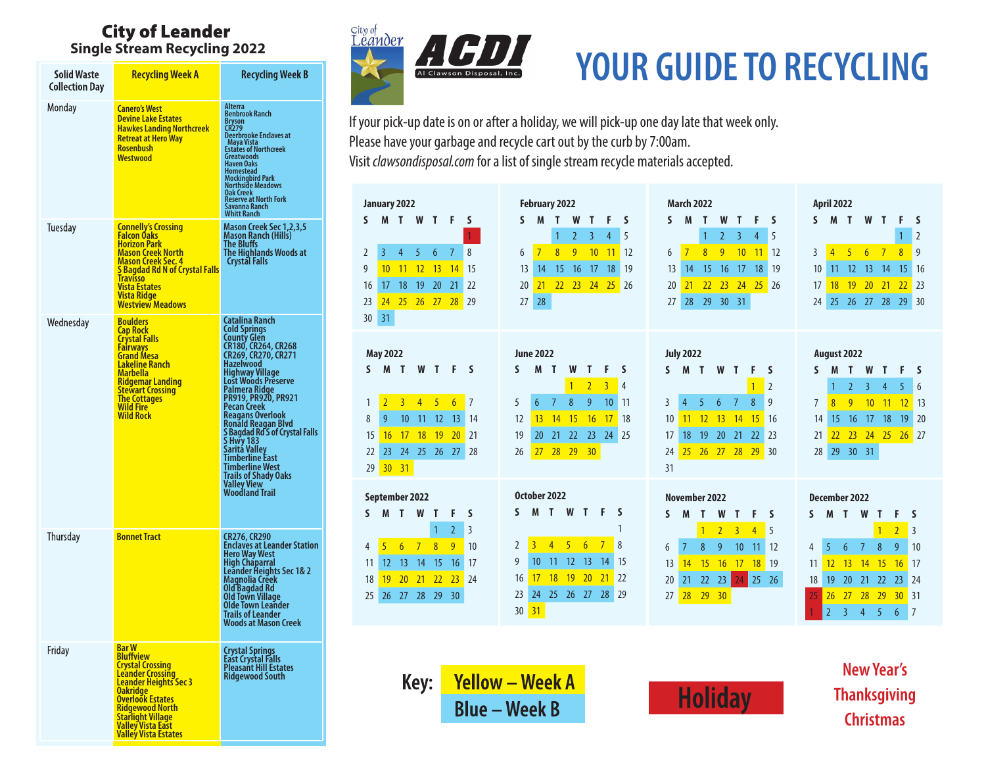| Solid Waste<br><b>Collection Day</b> | <b>Recycling Week A</b>                                                                                                                                                                                                                                                | <b>Recycling Week B</b>                                                                                                                                                                                                                                                                                                                                                                                                                                               |
|--------------------------------------|------------------------------------------------------------------------------------------------------------------------------------------------------------------------------------------------------------------------------------------------------------------------|-----------------------------------------------------------------------------------------------------------------------------------------------------------------------------------------------------------------------------------------------------------------------------------------------------------------------------------------------------------------------------------------------------------------------------------------------------------------------|
| Monday                               | <b>Canero's West</b><br><b>Devine Lake Estates</b><br><b>Hawkes Landing Northcreek</b><br><b>Retreat at Hero Way</b><br><b>Rosenbush</b><br><b>Westwood</b>                                                                                                            | Alterra<br><b>Benbrook Ranch</b><br>Bryson<br>CR279<br><b>Deerbrooke Enclaves at</b><br>Maya Vista<br>Estates of Northcreek<br>Greatwoods<br><b>Haven Oaks</b><br><b>Homestead</b><br><b>Mockingbird Park</b><br><b>Northside Meadows</b><br>Oak Creek<br><b>Reserve at North Fork</b><br>Savanna Ranch<br>Whitt Ranch                                                                                                                                                |
| Tuesday                              | <b>Connelly's Crossing</b><br><b>Falcon Oaks</b><br><b>Horizon Park</b><br><b>Mason Creek North</b><br><u> Mason Creek Sec. 4</u><br><b>S Bagdad Rd N of Crystal Falls</b><br><b>Travisso</b><br><b>Vista Estates</b><br><b>Vista Ridge</b><br><b>Westview Meadows</b> | Mason Creek Sec 1,2,3,5<br>Mason Ranch (Hills)<br>The Bluffs<br>The Highlands Woods at<br>Crystal Falls                                                                                                                                                                                                                                                                                                                                                               |
| Wednesday                            | <b>Boulders</b><br><u>Cap Rock</u><br><b>Crystal Falls</b><br><b>Fairways</b><br><b>Grand Mesa</b><br><b>Lakeline Ranch</b><br><b>Marbella</b><br><b>Ridgemar Landing</b><br><b>Stewart Crossing</b><br><b>The Cottages</b><br><b>Wild Fire</b><br><b>Wild Rock</b>    | Catalina Ranch<br>Cold Springs<br>County Glen<br>CR180, CR264, CR268<br>CR269, CR270, CR271<br><b>Hazelwood</b><br><b>Highway Village</b><br><b>Lost Woods Preserve</b><br>Palmera Ridge<br>PR919, PR920, PR921<br><b>Pecan Creek</b><br><b>Reagans Overlook</b><br>Ronald Reagan Blvd<br><b>Shagdad Rd S of Crystal Falls<br/>S Hwy 183<br/>Sarita Valley<br/>Timberline East</b><br>Timberline West<br><b>Trails of Shady Oaks</b><br>Valley View<br>Woodland Trail |
| <b>Thursday</b>                      | <b>Bonnet Tract</b>                                                                                                                                                                                                                                                    | CR276, CR290<br><b>Enclaves at Leander Station<br/>Hero Way West</b><br>High Cháparral<br>Leander Heights Sec 1& 2<br>Magnolia Créek<br>Old Bagdad Rd<br>Old Town Village<br>Olde Town Leander<br>Trails of Leander<br><b>Woods at Mason Creek</b>                                                                                                                                                                                                                    |
| Friday                               | <u>Bar W</u><br><b>Bluffview</b><br><b>Crystal Crossing</b><br><b>Leander Crossing</b><br><b>Leander Heights Sec 3</b><br><b>Oakridge</b><br><b>Overlook Estates</b><br><b>Ridgewood North</b><br>Starlight Village<br>Valley Vista East<br>Valley Vista Estates       | Crystal Springs<br>East Crystal Falls<br>Pleasant Hill Estates<br><b>Ridgewood South</b>                                                                                                                                                                                                                                                                                                                                                                              |



## **YOUR GUIDE TO RECYCLING**<br>
Maxte **Recycling Week A** Recycling Week B Recycling Week B **Recycling Week B** Recycling Week B **Recycling Week B**

If your pick-up date is on or after a holiday, we will pick-up one day late that week only. Please have your garbage and recycle cart out by the curb by 7:00am. Visit *clawsondisposal.com* for a list of single stream recycle materials accepted.

|                 | <b>February 2022</b><br>January 2022 |                 |                |                |                   |                  |              |                |                | <b>March 2022</b> |                |                |                |                  | <b>April 2022</b> |                |                |                |                |                 |                |                |                 |                |                 |                 |                |                |
|-----------------|--------------------------------------|-----------------|----------------|----------------|-------------------|------------------|--------------|----------------|----------------|-------------------|----------------|----------------|----------------|------------------|-------------------|----------------|----------------|----------------|----------------|-----------------|----------------|----------------|-----------------|----------------|-----------------|-----------------|----------------|----------------|
| S.              | M T                                  |                 | W              | $\mathbf{r}$   | F                 | S                | S.           | M              | $\mathbf{I}$   | W                 | Т              | F              | <sub>S</sub>   |                  | $\mathsf{S}$      | M              | T              | W              | $\mathbf{I}$   | F               | S              | S.             | M               | $\mathbf{r}$   | W               | $\mathbf{I}$    | F              | S              |
|                 |                                      |                 |                |                |                   |                  |              |                | 1              | $\overline{2}$    | $\overline{3}$ | $\overline{4}$ | 5              |                  |                   |                | 1              | 2 <sup>1</sup> | $\overline{3}$ | 4               | 5              |                |                 |                |                 |                 | 1              | 2              |
| $\overline{2}$  | 3                                    | $\overline{4}$  | 5              | 6              | $\overline{7}$    | 8                | 6            | $\overline{7}$ | $\overline{8}$ | 9                 | 10             | 11             | 12             |                  | 6                 | $\overline{7}$ | $\overline{8}$ | 9              | 10             | $\overline{11}$ | 12             | $\overline{3}$ | $\overline{4}$  | 5              | $6\overline{6}$ | $7\overline{ }$ | 8              | 9              |
| 9               | 10                                   | 11              | 12             | 13             | 14                | 15               | 13           | 14             | 15             | 16                | $-17$          | 18             | 19             |                  | 13                | 14             | 15             | 16             | 17             | 18              | 19             | 10             | 11              | 12             | 13              | 14              | 15             | 16             |
| 16              | 17                                   | 18              | 19             | 20             | 21                | 22               | 20           | 21             | 22             | 23                | 24             | 25             | 26             |                  | 20                | 21             | 22             | 23             | 24             | 25              | 26             | 17             | 18              | 19             | 20              | 21              | 22             | 23             |
| 23              |                                      |                 |                |                | 24 25 26 27 28 29 |                  | 27           | 28             |                |                   |                |                |                |                  | 27                | 28             |                | 29 30          | $-31$          |                 |                | 24             | 25              | 26             | 27              | 28              | 29             | 30             |
| 30 <sup>°</sup> | 31                                   |                 |                |                |                   |                  |              |                |                |                   |                |                |                |                  |                   |                |                |                |                |                 |                |                |                 |                |                 |                 |                |                |
|                 |                                      |                 |                |                |                   |                  |              |                |                |                   |                |                |                |                  |                   |                |                |                |                |                 |                |                |                 |                |                 |                 |                |                |
|                 | <b>May 2022</b>                      |                 |                |                |                   | <b>June 2022</b> |              |                |                |                   |                |                |                | <b>July 2022</b> |                   |                |                |                |                |                 | August 2022    |                |                 |                |                 |                 |                |                |
| S.              | M                                    | $\mathbf{r}$    | W              | $\mathbf{T}$   | F                 | S                | S.           | M              | Т              | W                 | т              | F              | S              | S.               |                   | M              | $\mathbf{I}$   | W              | т              | F               | S              | s              | M               | т              | W               | т               | F              | S              |
|                 |                                      |                 |                |                |                   |                  |              |                |                | $\overline{1}$    | $\overline{2}$ | $\overline{3}$ | $\overline{4}$ |                  |                   |                |                |                |                | $\overline{1}$  | $\overline{2}$ |                | 1               | $\overline{2}$ | 3               | $\overline{4}$  | 5              | 6              |
| 1               | $\overline{2}$                       | 3               | 4 <sup>1</sup> | 5 <sup>5</sup> | 6                 | $\overline{7}$   | 5            | $6\phantom{1}$ | $\overline{7}$ | $8\phantom{1}$    | 9              | 10             | 11             | 3                |                   | 4              | 5              | $6\phantom{1}$ | $\bullet$      | 8               | 9              | $\overline{7}$ | 8               | 9 <sup>°</sup> | 10 <sup>°</sup> | $\overline{11}$ | $-12$          | 13             |
| 8               | 9                                    |                 | 10 11 12 13    |                |                   | 14               | 12           | 13             | 14             | 15                | 16             | 17             | 18             | 10               |                   | 11             | 12             | 13             | $-14$          | 15              | 16             | 14             | 15 <sup>2</sup> | 16             | $\overline{17}$ | 18              | <sup>19</sup>  | 20             |
| 15              | 16                                   | 17              | 18             | 19             | 20                | 21               | 19           | 20             | 21             | 22                | 23             | 24             | 25             | 17               |                   | 18             | 19             | 20             | 21             | 22              | 23             | 21             | 22              | 23             | 24              | 25              | 26             | 27             |
| 22              |                                      |                 | 23 24 25 26    |                | 27                | 28               | 26           | 27             | 28             | 29                | 30             |                |                | 24               |                   | 25             | 26             | $27 - 28$      |                | 29              | 30             | 28             | 29              |                | $30$ 31         |                 |                |                |
| 29              |                                      | $30 \quad 31$   |                |                |                   |                  |              |                |                |                   |                |                |                | 31               |                   |                |                |                |                |                 |                |                |                 |                |                 |                 |                |                |
|                 |                                      |                 |                |                |                   |                  |              |                |                |                   |                |                |                |                  |                   |                |                |                |                |                 |                |                |                 |                |                 |                 |                |                |
|                 | September 2022                       |                 |                |                |                   |                  | October 2022 |                |                |                   |                |                |                |                  | November 2022     |                |                |                |                |                 |                | December 2022  |                 |                |                 |                 |                |                |
| S.              |                                      | M T             | W              | Т              | F.                | S                | S            | M              | T              | W                 | T              | F              | <b>S</b>       | S.               |                   | M              | T              | W              | Т              | F               | S              | S.             | M               | - T            | W               | т               | F              | S              |
|                 |                                      |                 |                | $\mathbf{1}$   | 2                 | $\overline{3}$   |              |                |                |                   |                |                | 1              |                  |                   |                | $\mathbf{1}$   | $\overline{2}$ | $\overline{3}$ | $\overline{4}$  | 5              |                |                 |                |                 | $\mathbf{1}$    | $\overline{2}$ | $\overline{3}$ |
| 4               | 5                                    | $6\overline{6}$ | 7 <sup>7</sup> | $\overline{8}$ | $\overline{9}$    | 10               | 2            | $\overline{3}$ | $\overline{4}$ | 5 <sup>o</sup>    | 6 <sup>o</sup> | $7^{\circ}$    | 8              | 6                |                   | $\overline{7}$ | 8              | 9              | 10             | 11              | 12             | 4              | 5               | 6              | $\overline{7}$  | 8               | 9              | 10             |
| 11              | 12                                   | 13              | 14             | -15            | 16                | 17               | 9            | 10             |                | 11 12 13          |                | 14             | 15             | 13               |                   | 14             | 15             | 16             | 17             | 18 19           |                | 11             | 12              | 13             | 14              | 15              | 16             | 17             |
| 18              | 19                                   | 20              | 21             | 22             | 23                | 24               | 16           | 17             | 18             | 19                | 20             | 21             | 22             | 20               |                   | 21             | 22             | 23             | 24             | 25              | 26             | 18             | 19              | 20             | 21              | 22              | -23            | 24             |
| 25              |                                      |                 | 26 27 28       | $-29$          | 30                |                  | 23           | 24             |                |                   |                | 25 26 27 28    | 29             | 27               |                   | 28             | 29 30          |                |                |                 |                | 25             | 26              | 27             | 28              | 29              | 30             | 31             |
|                 |                                      |                 |                |                |                   |                  | 30           | 31             |                |                   |                |                |                |                  |                   |                |                |                |                |                 |                |                | $\overline{2}$  | 3              | $\overline{4}$  | 5               | 6              | 7              |

**Yellow - Week A** Key: **Blue – Week B** 



**New Year's Thanksgiving Christmas**